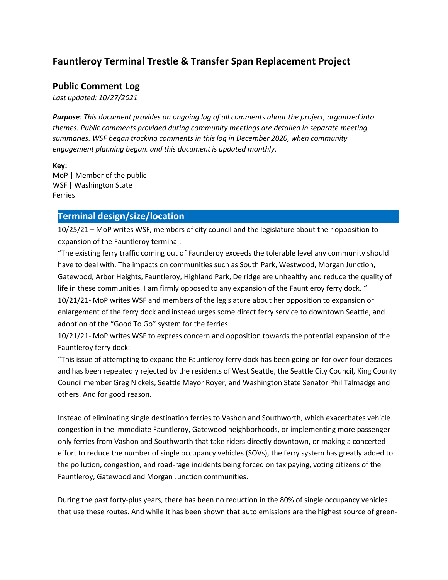# **Fauntleroy Terminal Trestle & Transfer Span Replacement Project**

## **Public Comment Log**

*Last updated: 10/27/2021*

*Purpose: This document provides an ongoing log of all comments about the project, organized into themes. Public comments provided during community meetings are detailed in separate meeting summaries. WSF began tracking comments in this log in December 2020, when community engagement planning began, and this document is updated monthly*.

**Key:** MoP | Member of the public WSF | Washington State Ferries

## **Terminal design/size/location**

10/25/21 – MoP writes WSF, members of city council and the legislature about their opposition to expansion of the Fauntleroy terminal:

"The existing ferry traffic coming out of Fauntleroy exceeds the tolerable level any community should have to deal with. The impacts on communities such as South Park, Westwood, Morgan Junction, Gatewood, Arbor Heights, Fauntleroy, Highland Park, Delridge are unhealthy and reduce the quality of life in these communities. I am firmly opposed to any expansion of the Fauntleroy ferry dock. "

10/21/21- MoP writes WSF and members of the legislature about her opposition to expansion or enlargement of the ferry dock and instead urges some direct ferry service to downtown Seattle, and adoption of the "Good To Go" system for the ferries.

10/21/21- MoP writes WSF to express concern and opposition towards the potential expansion of the Fauntleroy ferry dock:

"This issue of attempting to expand the Fauntleroy ferry dock has been going on for over four decades and has been repeatedly rejected by the residents of West Seattle, the Seattle City Council, King County Council member Greg Nickels, Seattle Mayor Royer, and Washington State Senator Phil Talmadge and others. And for good reason.

Instead of eliminating single destination ferries to Vashon and Southworth, which exacerbates vehicle congestion in the immediate Fauntleroy, Gatewood neighborhoods, or implementing more passenger only ferries from Vashon and Southworth that take riders directly downtown, or making a concerted effort to reduce the number of single occupancy vehicles (SOVs), the ferry system has greatly added to the pollution, congestion, and road-rage incidents being forced on tax paying, voting citizens of the Fauntleroy, Gatewood and Morgan Junction communities.

During the past forty-plus years, there has been no reduction in the 80% of single occupancy vehicles that use these routes. And while it has been shown that auto emissions are the highest source of green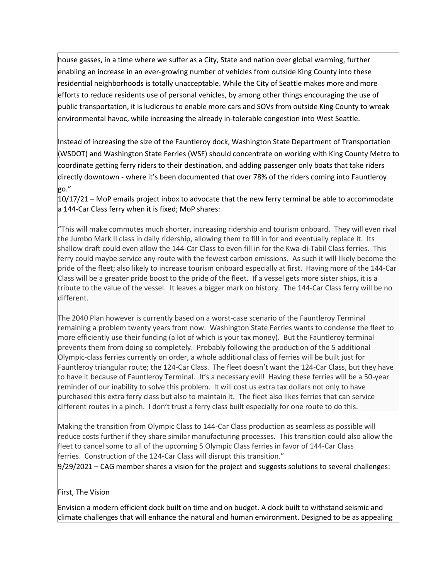house gasses, in a time where we suffer as a City, State and nation over global warming, further enabling an increase in an ever-growing number of vehicles from outside King County into these residential neighborhoods is totally unacceptable. While the City of Seattle makes more and more efforts to reduce residents use of personal vehicles, by among other things encouraging the use of public transportation, it is ludicrous to enable more cars and SOVs from outside King County to wreak environmental havoc, while increasing the already in-tolerable congestion into West Seattle.

Instead of increasing the size of the Fauntleroy dock, Washington State Department of Transportation (WSDOT) and Washington State Ferries (WSF) should concentrate on working with King County Metro to coordinate getting ferry riders to their destination, and adding passenger only boats that take riders directly downtown - where it's been documented that over 78% of the riders coming into Fauntleroy go."

10/17/21 – MoP emails project inbox to advocate that the new ferry terminal be able to accommodate a 144-Car Class ferry when it is fixed; MoP shares:

"This will make commutes much shorter, increasing ridership and tourism onboard. They will even rival the Jumbo Mark II class in daily ridership, allowing them to fill in for and eventually replace it. Its shallow draft could even allow the 144-Car Class to even fill in for the Kwa-di-Tabil Class ferries. This ferry could maybe service any route with the fewest carbon emissions. As such it will likely become the pride of the fleet; also likely to increase tourism onboard especially at first. Having more of the 144-Car Class will be a greater pride boost to the pride of the fleet. If a vessel gets more sister ships, it is a tribute to the value of the vessel. It leaves a bigger mark on history. The 144-Car Class ferry will be no different.

The 2040 Plan however is currently based on a worst-case scenario of the Fauntleroy Terminal remaining a problem twenty years from now. Washington State Ferries wants to condense the fleet to more efficiently use their funding (a lot of which is your tax money). But the Fauntleroy terminal prevents them from doing so completely. Probably following the production of the 5 additional Olympic-class ferries currently on order, a whole additional class of ferries will be built just for Fauntleroy triangular route; the 124-Car Class. The fleet doesn't want the 124-Car Class, but they have to have it because of Fauntleroy Terminal. It's a necessary evil! Having these ferries will be a 50-year reminder of our inability to solve this problem. It will cost us extra tax dollars not only to have purchased this extra ferry class but also to maintain it. The fleet also likes ferries that can service different routes in a pinch. I don't trust a ferry class built especially for one route to do this.

Making the transition from Olympic Class to 144-Car Class production as seamless as possible will reduce costs further if they share similar manufacturing processes. This transition could also allow the fleet to cancel some to all of the upcoming 5 Olympic Class ferries in favor of 144-Car Class ferries. Construction of the 124-Car Class will disrupt this transition."

9/29/2021 – CAG member shares a vision for the project and suggests solutions to several challenges:

## First, The Vision

Envision a modern efficient dock built on time and on budget. A dock built to withstand seismic and climate challenges that will enhance the natural and human environment. Designed to be as appealing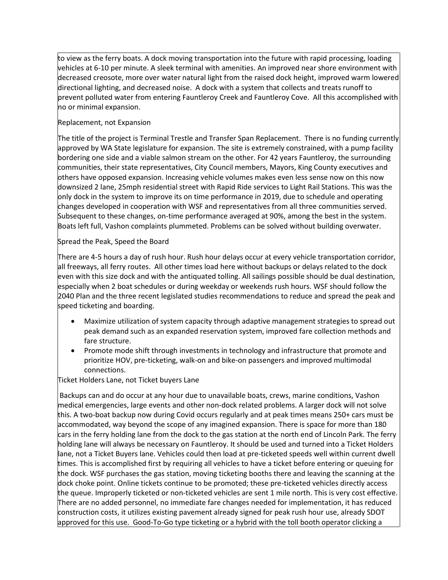to view as the ferry boats. A dock moving transportation into the future with rapid processing, loading vehicles at 6-10 per minute. A sleek terminal with amenities. An improved near shore environment with decreased creosote, more over water natural light from the raised dock height, improved warm lowered directional lighting, and decreased noise. A dock with a system that collects and treats runoff to prevent polluted water from entering Fauntleroy Creek and Fauntleroy Cove. All this accomplished with no or minimal expansion.

## Replacement, not Expansion

The title of the project is Terminal Trestle and Transfer Span Replacement. There is no funding currently approved by WA State legislature for expansion. The site is extremely constrained, with a pump facility bordering one side and a viable salmon stream on the other. For 42 years Fauntleroy, the surrounding communities, their state representatives, City Council members, Mayors, King County executives and others have opposed expansion. Increasing vehicle volumes makes even less sense now on this now downsized 2 lane, 25mph residential street with Rapid Ride services to Light Rail Stations. This was the only dock in the system to improve its on time performance in 2019, due to schedule and operating changes developed in cooperation with WSF and representatives from all three communities served. Subsequent to these changes, on-time performance averaged at 90%, among the best in the system. Boats left full, Vashon complaints plummeted. Problems can be solved without building overwater.

#### Spread the Peak, Speed the Board

There are 4-5 hours a day of rush hour. Rush hour delays occur at every vehicle transportation corridor, all freeways, all ferry routes. All other times load here without backups or delays related to the dock even with this size dock and with the antiquated tolling. All sailings possible should be dual destination, especially when 2 boat schedules or during weekday or weekends rush hours. WSF should follow the 2040 Plan and the three recent legislated studies recommendations to reduce and spread the peak and speed ticketing and boarding.

- Maximize utilization of system capacity through adaptive management strategies to spread out peak demand such as an expanded reservation system, improved fare collection methods and fare structure.
- Promote mode shift through investments in technology and infrastructure that promote and prioritize HOV, pre-ticketing, walk-on and bike-on passengers and improved multimodal connections.

Ticket Holders Lane, not Ticket buyers Lane

Backups can and do occur at any hour due to unavailable boats, crews, marine conditions, Vashon medical emergencies, large events and other non-dock related problems. A larger dock will not solve this. A two-boat backup now during Covid occurs regularly and at peak times means 250+ cars must be accommodated, way beyond the scope of any imagined expansion. There is space for more than 180 cars in the ferry holding lane from the dock to the gas station at the north end of Lincoln Park. The ferry holding lane will always be necessary on Fauntleroy. It should be used and turned into a Ticket Holders lane, not a Ticket Buyers lane. Vehicles could then load at pre-ticketed speeds well within current dwell times. This is accomplished first by requiring all vehicles to have a ticket before entering or queuing for the dock. WSF purchases the gas station, moving ticketing booths there and leaving the scanning at the dock choke point. Online tickets continue to be promoted; these pre-ticketed vehicles directly access the queue. Improperly ticketed or non-ticketed vehicles are sent 1 mile north. This is very cost effective. There are no added personnel, no immediate fare changes needed for implementation, it has reduced construction costs, it utilizes existing pavement already signed for peak rush hour use, already SDOT approved for this use. Good-To-Go type ticketing or a hybrid with the toll booth operator clicking a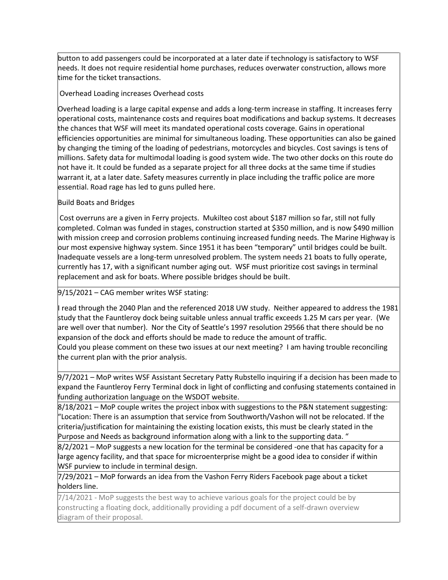button to add passengers could be incorporated at a later date if technology is satisfactory to WSF needs. It does not require residential home purchases, reduces overwater construction, allows more time for the ticket transactions.

#### Overhead Loading increases Overhead costs

Overhead loading is a large capital expense and adds a long-term increase in staffing. It increases ferry operational costs, maintenance costs and requires boat modifications and backup systems. It decreases the chances that WSF will meet its mandated operational costs coverage. Gains in operational efficiencies opportunities are minimal for simultaneous loading. These opportunities can also be gained by changing the timing of the loading of pedestrians, motorcycles and bicycles. Cost savings is tens of millions. Safety data for multimodal loading is good system wide. The two other docks on this route do not have it. It could be funded as a separate project for all three docks at the same time if studies warrant it, at a later date. Safety measures currently in place including the traffic police are more essential. Road rage has led to guns pulled here.

#### Build Boats and Bridges

Cost overruns are a given in Ferry projects. Mukilteo cost about \$187 million so far, still not fully completed. Colman was funded in stages, construction started at \$350 million, and is now \$490 million with mission creep and corrosion problems continuing increased funding needs. The Marine Highway is our most expensive highway system. Since 1951 it has been "temporary" until bridges could be built. Inadequate vessels are a long-term unresolved problem. The system needs 21 boats to fully operate, currently has 17, with a significant number aging out. WSF must prioritize cost savings in terminal replacement and ask for boats. Where possible bridges should be built.

#### 9/15/2021 – CAG member writes WSF stating:

I read through the 2040 Plan and the referenced 2018 UW study. Neither appeared to address the 1981 study that the Fauntleroy dock being suitable unless annual traffic exceeds 1.25 M cars per year. (We are well over that number). Nor the City of Seattle's 1997 resolution 29566 that there should be no expansion of the dock and efforts should be made to reduce the amount of traffic.

Could you please comment on these two issues at our next meeting? I am having trouble reconciling the current plan with the prior analysis.

9/7/2021 – MoP writes WSF Assistant Secretary Patty Rubstello inquiring if a decision has been made to expand the Fauntleroy Ferry Terminal dock in light of conflicting and confusing statements contained in funding authorization language on the WSDOT website.

 $8/18/2021$  – MoP couple writes the project inbox with suggestions to the P&N statement suggesting: "Location: There is an assumption that service from Southworth/Vashon will not be relocated. If the criteria/justification for maintaining the existing location exists, this must be clearly stated in the Purpose and Needs as background information along with a link to the supporting data. "

8/2/2021 – MoP suggests a new location for the terminal be considered -one that has capacity for a large agency facility, and that space for microenterprise might be a good idea to consider if within WSF purview to include in terminal design.

7/29/2021 – MoP forwards an idea from the Vashon Ferry Riders Facebook page about a ticket holders line.

7/14/2021 - MoP suggests the best way to achieve various goals for the project could be by constructing a floating dock, additionally providing a pdf document of a self-drawn overview diagram of their proposal.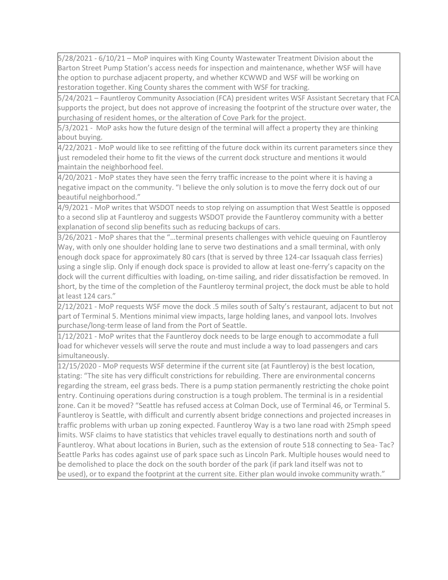5/28/2021 - 6/10/21 – MoP inquires with King County Wastewater Treatment Division about the Barton Street Pump Station's access needs for inspection and maintenance, whether WSF will have the option to purchase adjacent property, and whether KCWWD and WSF will be working on restoration together. King County shares the comment with WSF for tracking.

5/24/2021 – Fauntleroy Community Association (FCA) president writes WSF Assistant Secretary that FCA supports the project, but does not approve of increasing the footprint of the structure over water, the purchasing of resident homes, or the alteration of Cove Park for the project.

5/3/2021 - MoP asks how the future design of the terminal will affect a property they are thinking about buying.

4/22/2021 - MoP would like to see refitting of the future dock within its current parameters since they just remodeled their home to fit the views of the current dock structure and mentions it would maintain the neighborhood feel.

4/20/2021 - MoP states they have seen the ferry traffic increase to the point where it is having a negative impact on the community. "I believe the only solution is to move the ferry dock out of our beautiful neighborhood."

4/9/2021 - MoP writes that WSDOT needs to stop relying on assumption that West Seattle is opposed to a second slip at Fauntleroy and suggests WSDOT provide the Fauntleroy community with a better explanation of second slip benefits such as reducing backups of cars.

3/26/2021 - MoP shares that the "…terminal presents challenges with vehicle queuing on Fauntleroy Way, with only one shoulder holding lane to serve two destinations and a small terminal, with only enough dock space for approximately 80 cars (that is served by three 124-car Issaquah class ferries) using a single slip. Only if enough dock space is provided to allow at least one-ferry's capacity on the dock will the current difficulties with loading, on-time sailing, and rider dissatisfaction be removed. In short, by the time of the completion of the Fauntleroy terminal project, the dock must be able to hold at least 124 cars."

2/12/2021 - MoP requests WSF move the dock .5 miles south of Salty's restaurant, adjacent to but not part of Terminal 5. Mentions minimal view impacts, large holding lanes, and vanpool lots. Involves purchase/long-term lease of land from the Port of Seattle.

1/12/2021 - MoP writes that the Fauntleroy dock needs to be large enough to accommodate a full load for whichever vessels will serve the route and must include a way to load passengers and cars simultaneously.

12/15/2020 - MoP requests WSF determine if the current site (at Fauntleroy) is the best location, stating: "The site has very difficult constrictions for rebuilding. There are environmental concerns regarding the stream, eel grass beds. There is a pump station permanently restricting the choke point entry. Continuing operations during construction is a tough problem. The terminal is in a residential zone. Can it be moved? "Seattle has refused access at Colman Dock, use of Terminal 46, or Terminal 5. Fauntleroy is Seattle, with difficult and currently absent bridge connections and projected increases in traffic problems with urban up zoning expected. Fauntleroy Way is a two lane road with 25mph speed limits. WSF claims to have statistics that vehicles travel equally to destinations north and south of Fauntleroy. What about locations in Burien, such as the extension of route 518 connecting to Sea- Tac? Seattle Parks has codes against use of park space such as Lincoln Park. Multiple houses would need to be demolished to place the dock on the south border of the park (if park land itself was not to be used), or to expand the footprint at the current site. Either plan would invoke community wrath."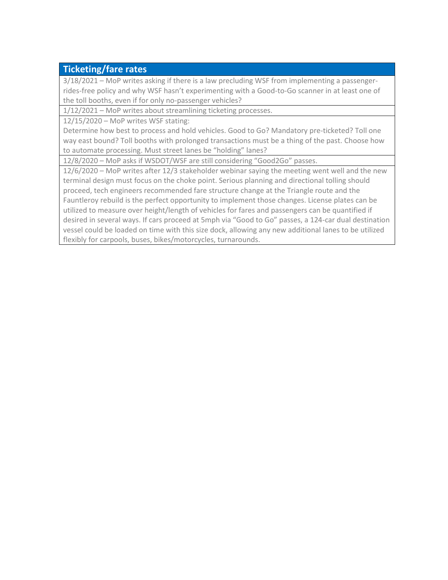# **Ticketing/fare rates**

3/18/2021 – MoP writes asking if there is a law precluding WSF from implementing a passengerrides-free policy and why WSF hasn't experimenting with a Good-to-Go scanner in at least one of the toll booths, even if for only no-passenger vehicles?

1/12/2021 – MoP writes about streamlining ticketing processes.

12/15/2020 – MoP writes WSF stating:

Determine how best to process and hold vehicles. Good to Go? Mandatory pre-ticketed? Toll one way east bound? Toll booths with prolonged transactions must be a thing of the past. Choose how to automate processing. Must street lanes be "holding" lanes?

12/8/2020 – MoP asks if WSDOT/WSF are still considering "Good2Go" passes.

12/6/2020 – MoP writes after 12/3 stakeholder webinar saying the meeting went well and the new terminal design must focus on the choke point. Serious planning and directional tolling should proceed, tech engineers recommended fare structure change at the Triangle route and the Fauntleroy rebuild is the perfect opportunity to implement those changes. License plates can be utilized to measure over height/length of vehicles for fares and passengers can be quantified if desired in several ways. If cars proceed at 5mph via "Good to Go" passes, a 124-car dual destination vessel could be loaded on time with this size dock, allowing any new additional lanes to be utilized flexibly for carpools, buses, bikes/motorcycles, turnarounds.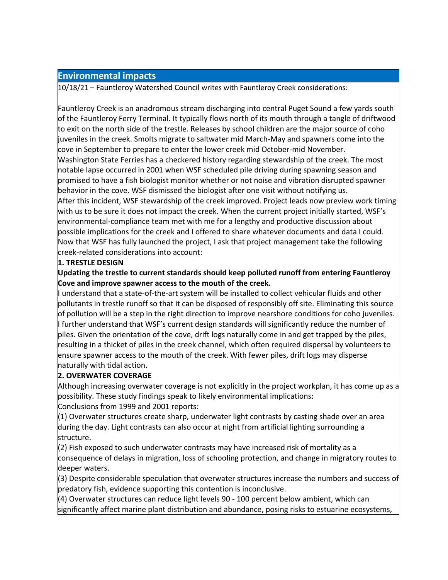## **Environmental impacts**

10/18/21 – Fauntleroy Watershed Council writes with Fauntleroy Creek considerations:

Fauntleroy Creek is an anadromous stream discharging into central Puget Sound a few yards south of the Fauntleroy Ferry Terminal. It typically flows north of its mouth through a tangle of driftwood to exit on the north side of the trestle. Releases by school children are the major source of coho juveniles in the creek. Smolts migrate to saltwater mid March-May and spawners come into the cove in September to prepare to enter the lower creek mid October-mid November. Washington State Ferries has a checkered history regarding stewardship of the creek. The most notable lapse occurred in 2001 when WSF scheduled pile driving during spawning season and promised to have a fish biologist monitor whether or not noise and vibration disrupted spawner behavior in the cove. WSF dismissed the biologist after one visit without notifying us. After this incident, WSF stewardship of the creek improved. Project leads now preview work timing with us to be sure it does not impact the creek. When the current project initially started, WSF's environmental-compliance team met with me for a lengthy and productive discussion about possible implications for the creek and I offered to share whatever documents and data I could. Now that WSF has fully launched the project, I ask that project management take the following creek-related considerations into account:

## **1. TRESTLE DESIGN**

**Updating the trestle to current standards should keep polluted runoff from entering Fauntleroy Cove and improve spawner access to the mouth of the creek.** 

I understand that a state-of-the-art system will be installed to collect vehicular fluids and other pollutants in trestle runoff so that it can be disposed of responsibly off site. Eliminating this source of pollution will be a step in the right direction to improve nearshore conditions for coho juveniles. I further understand that WSF's current design standards will significantly reduce the number of piles. Given the orientation of the cove, drift logs naturally come in and get trapped by the piles, resulting in a thicket of piles in the creek channel, which often required dispersal by volunteers to ensure spawner access to the mouth of the creek. With fewer piles, drift logs may disperse naturally with tidal action.

## **2. OVERWATER COVERAGE**

Although increasing overwater coverage is not explicitly in the project workplan, it has come up as a possibility. These study findings speak to likely environmental implications: Conclusions from 1999 and 2001 reports:

 $(1)$  Overwater structures create sharp, underwater light contrasts by casting shade over an area during the day. Light contrasts can also occur at night from artificial lighting surrounding a structure.

 $(2)$  Fish exposed to such underwater contrasts may have increased risk of mortality as a consequence of delays in migration, loss of schooling protection, and change in migratory routes to deeper waters.

(3) Despite considerable speculation that overwater structures increase the numbers and success of predatory fish, evidence supporting this contention is inconclusive.

(4) Overwater structures can reduce light levels 90 - 100 percent below ambient, which can significantly affect marine plant distribution and abundance, posing risks to estuarine ecosystems,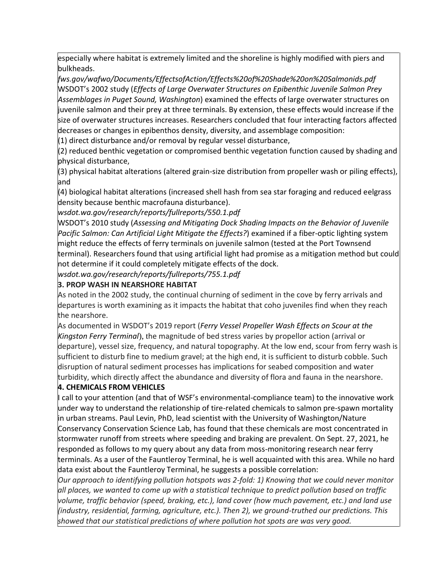especially where habitat is extremely limited and the shoreline is highly modified with piers and bulkheads.

*fws.gov/wafwo/Documents/EffectsofAction/Effects%20of%20Shade%20on%20Salmonids.pdf*  WSDOT's 2002 study (*Effects of Large Overwater Structures on Epibenthic Juvenile Salmon Prey Assemblages in Puget Sound, Washington*) examined the effects of large overwater structures on juvenile salmon and their prey at three terminals. By extension, these effects would increase if the size of overwater structures increases. Researchers concluded that four interacting factors affected decreases or changes in epibenthos density, diversity, and assemblage composition:

 $(1)$  direct disturbance and/or removal by regular vessel disturbance,

(2) reduced benthic vegetation or compromised benthic vegetation function caused by shading and physical disturbance,

(3) physical habitat alterations (altered grain-size distribution from propeller wash or piling effects), and

(4) biological habitat alterations (increased shell hash from sea star foraging and reduced eelgrass density because benthic macrofauna disturbance).

*wsdot.wa.gov/research/reports/fullreports/550.1.pdf* 

WSDOT's 2010 study (*Assessing and Mitigating Dock Shading Impacts on the Behavior of Juvenile Pacific Salmon: Can Artificial Light Mitigate the Effects?*) examined if a fiber-optic lighting system might reduce the effects of ferry terminals on juvenile salmon (tested at the Port Townsend terminal). Researchers found that using artificial light had promise as a mitigation method but could not determine if it could completely mitigate effects of the dock.

*wsdot.wa.gov/research/reports/fullreports/755.1.pdf* 

## **3. PROP WASH IN NEARSHORE HABITAT**

As noted in the 2002 study, the continual churning of sediment in the cove by ferry arrivals and departures is worth examining as it impacts the habitat that coho juveniles find when they reach the nearshore.

As documented in WSDOT's 2019 report (*Ferry Vessel Propeller Wash Effects on Scour at the Kingston Ferry Terminal*), the magnitude of bed stress varies by propellor action (arrival or departure), vessel size, frequency, and natural topography. At the low end, scour from ferry wash is sufficient to disturb fine to medium gravel; at the high end, it is sufficient to disturb cobble. Such disruption of natural sediment processes has implications for seabed composition and water turbidity, which directly affect the abundance and diversity of flora and fauna in the nearshore.

## **4. CHEMICALS FROM VEHICLES**

I call to your attention (and that of WSF's environmental-compliance team) to the innovative work under way to understand the relationship of tire-related chemicals to salmon pre-spawn mortality in urban streams. Paul Levin, PhD, lead scientist with the University of Washington/Nature Conservancy Conservation Science Lab, has found that these chemicals are most concentrated in stormwater runoff from streets where speeding and braking are prevalent. On Sept. 27, 2021, he responded as follows to my query about any data from moss-monitoring research near ferry terminals. As a user of the Fauntleroy Terminal, he is well acquainted with this area. While no hard data exist about the Fauntleroy Terminal, he suggests a possible correlation:

*Our approach to identifying pollution hotspots was 2-fold: 1) Knowing that we could never monitor all places, we wanted to come up with a statistical technique to predict pollution based on traffic volume, traffic behavior (speed, braking, etc.), land cover (how much pavement, etc.) and land use (industry, residential, farming, agriculture, etc.). Then 2), we ground-truthed our predictions. This showed that our statistical predictions of where pollution hot spots are was very good.*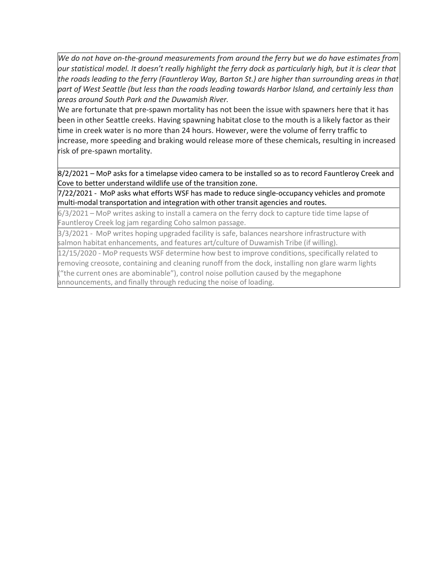*We do not have on-the-ground measurements from around the ferry but we do have estimates from our statistical model. It doesn't really highlight the ferry dock as particularly high, but it is clear that the roads leading to the ferry (Fauntleroy Way, Barton St.) are higher than surrounding areas in that part of West Seattle (but less than the roads leading towards Harbor Island, and certainly less than areas around South Park and the Duwamish River.* 

We are fortunate that pre-spawn mortality has not been the issue with spawners here that it has been in other Seattle creeks. Having spawning habitat close to the mouth is a likely factor as their time in creek water is no more than 24 hours. However, were the volume of ferry traffic to increase, more speeding and braking would release more of these chemicals, resulting in increased risk of pre-spawn mortality.

8/2/2021 – MoP asks for a timelapse video camera to be installed so as to record Fauntleroy Creek and Cove to better understand wildlife use of the transition zone.

7/22/2021 - MoP asks what efforts WSF has made to reduce single-occupancy vehicles and promote multi-modal transportation and integration with other transit agencies and routes.

6/3/2021 – MoP writes asking to install a camera on the ferry dock to capture tide time lapse of Fauntleroy Creek log jam regarding Coho salmon passage.

3/3/2021 - MoP writes hoping upgraded facility is safe, balances nearshore infrastructure with salmon habitat enhancements, and features art/culture of Duwamish Tribe (if willing).

12/15/2020 - MoP requests WSF determine how best to improve conditions, specifically related to removing creosote, containing and cleaning runoff from the dock, installing non glare warm lights ("the current ones are abominable"), control noise pollution caused by the megaphone announcements, and finally through reducing the noise of loading.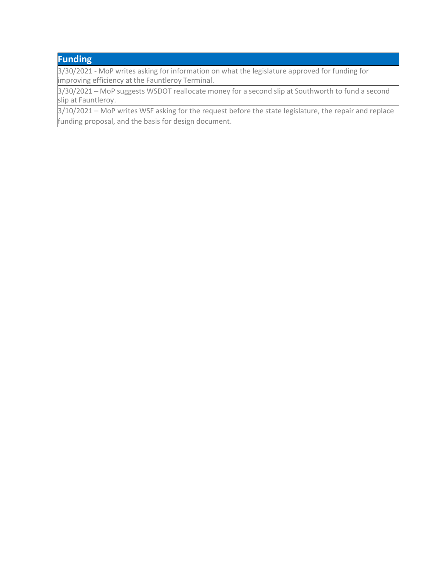# **Funding**

3/30/2021 - MoP writes asking for information on what the legislature approved for funding for improving efficiency at the Fauntleroy Terminal.

3/30/2021 – MoP suggests WSDOT reallocate money for a second slip at Southworth to fund a second slip at Fauntleroy.

3/10/2021 – MoP writes WSF asking for the request before the state legislature, the repair and replace funding proposal, and the basis for design document.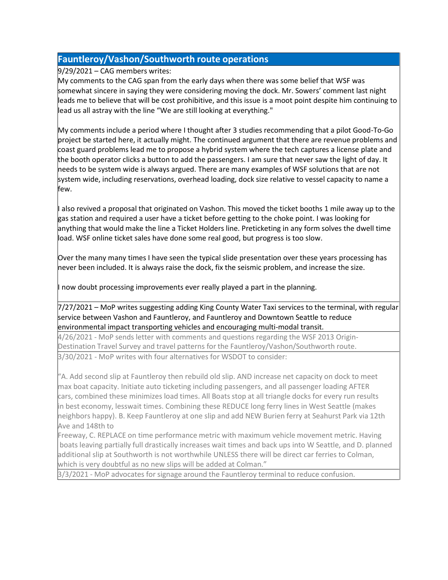## **Fauntleroy/Vashon/Southworth route operations**

9/29/2021 – CAG members writes:

My comments to the CAG span from the early days when there was some belief that WSF was somewhat sincere in saying they were considering moving the dock. Mr. Sowers' comment last night leads me to believe that will be cost prohibitive, and this issue is a moot point despite him continuing to lead us all astray with the line "We are still looking at everything."

My comments include a period where I thought after 3 studies recommending that a pilot Good-To-Go project be started here, it actually might. The continued argument that there are revenue problems and coast guard problems lead me to propose a hybrid system where the tech captures a license plate and the booth operator clicks a button to add the passengers. I am sure that never saw the light of day. It needs to be system wide is always argued. There are many examples of WSF solutions that are not system wide, including reservations, overhead loading, dock size relative to vessel capacity to name a few.

I also revived a proposal that originated on Vashon. This moved the ticket booths 1 mile away up to the gas station and required a user have a ticket before getting to the choke point. I was looking for anything that would make the line a Ticket Holders line. Preticketing in any form solves the dwell time load. WSF online ticket sales have done some real good, but progress is too slow.

Over the many many times I have seen the typical slide presentation over these years processing has never been included. It is always raise the dock, fix the seismic problem, and increase the size.

I now doubt processing improvements ever really played a part in the planning.

7/27/2021 – MoP writes suggesting adding King County Water Taxi services to the terminal, with regular service between Vashon and Fauntleroy, and Fauntleroy and Downtown Seattle to reduce environmental impact transporting vehicles and encouraging multi-modal transit.

4/26/2021 - MoP sends letter with comments and questions regarding the WSF 2013 Origin-Destination Travel Survey and travel patterns for the Fauntleroy/Vashon/Southworth route. 3/30/2021 - MoP writes with four alternatives for WSDOT to consider:

"A. Add second slip at Fauntleroy then rebuild old slip. AND increase net capacity on dock to meet max boat capacity. Initiate auto ticketing including passengers, and all passenger loading AFTER cars, combined these minimizes load times. All Boats stop at all triangle docks for every run results in best economy, lesswait times. Combining these REDUCE long ferry lines in West Seattle (makes neighbors happy). B. Keep Fauntleroy at one slip and add NEW Burien ferry at Seahurst Park via 12th Ave and 148th to

Freeway, C. REPLACE on time performance metric with maximum vehicle movement metric. Having boats leaving partially full drastically increases wait times and back ups into W Seattle, and D. planned additional slip at Southworth is not worthwhile UNLESS there will be direct car ferries to Colman, which is very doubtful as no new slips will be added at Colman."

3/3/2021 - MoP advocates for signage around the Fauntleroy terminal to reduce confusion.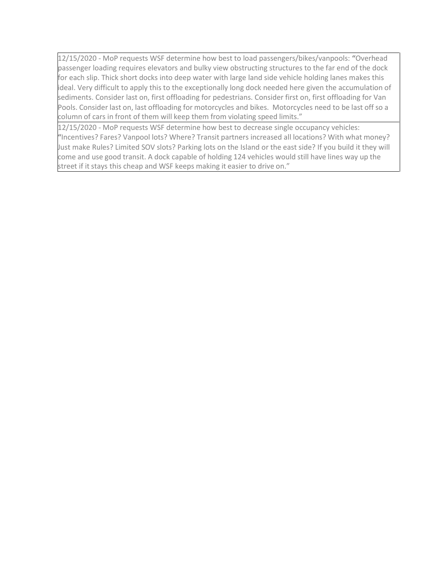12/15/2020 - MoP requests WSF determine how best to load passengers/bikes/vanpools: **"**Overhead passenger loading requires elevators and bulky view obstructing structures to the far end of the dock for each slip. Thick short docks into deep water with large land side vehicle holding lanes makes this ideal. Very difficult to apply this to the exceptionally long dock needed here given the accumulation of sediments. Consider last on, first offloading for pedestrians. Consider first on, first offloading for Van Pools. Consider last on, last offloading for motorcycles and bikes. Motorcycles need to be last off so a column of cars in front of them will keep them from violating speed limits."

12/15/2020 - MoP requests WSF determine how best to decrease single occupancy vehicles: **"**Incentives? Fares? Vanpool lots? Where? Transit partners increased all locations? With what money? Just make Rules? Limited SOV slots? Parking lots on the Island or the east side? If you build it they will come and use good transit. A dock capable of holding 124 vehicles would still have lines way up the street if it stays this cheap and WSF keeps making it easier to drive on."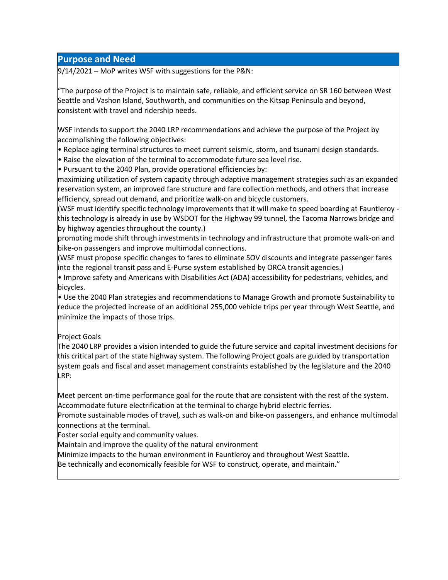## **Purpose and Need**

9/14/2021 – MoP writes WSF with suggestions for the P&N:

"The purpose of the Project is to maintain safe, reliable, and efficient service on SR 160 between West Seattle and Vashon Island, Southworth, and communities on the Kitsap Peninsula and beyond, consistent with travel and ridership needs.

WSF intends to support the 2040 LRP recommendations and achieve the purpose of the Project by accomplishing the following objectives:

• Replace aging terminal structures to meet current seismic, storm, and tsunami design standards.

• Raise the elevation of the terminal to accommodate future sea level rise.

• Pursuant to the 2040 Plan, provide operational efficiencies by:

maximizing utilization of system capacity through adaptive management strategies such as an expanded reservation system, an improved fare structure and fare collection methods, and others that increase efficiency, spread out demand, and prioritize walk-on and bicycle customers.

(WSF must identify specific technology improvements that it will make to speed boarding at Fauntleroy  $\cdot$ this technology is already in use by WSDOT for the Highway 99 tunnel, the Tacoma Narrows bridge and by highway agencies throughout the county.)

promoting mode shift through investments in technology and infrastructure that promote walk-on and bike-on passengers and improve multimodal connections.

(WSF must propose specific changes to fares to eliminate SOV discounts and integrate passenger fares into the regional transit pass and E-Purse system established by ORCA transit agencies.)

• Improve safety and Americans with Disabilities Act (ADA) accessibility for pedestrians, vehicles, and bicycles.

• Use the 2040 Plan strategies and recommendations to Manage Growth and promote Sustainability to reduce the projected increase of an additional 255,000 vehicle trips per year through West Seattle, and minimize the impacts of those trips.

## Project Goals

The 2040 LRP provides a vision intended to guide the future service and capital investment decisions for this critical part of the state highway system. The following Project goals are guided by transportation system goals and fiscal and asset management constraints established by the legislature and the 2040 LRP:

Meet percent on-time performance goal for the route that are consistent with the rest of the system. Accommodate future electrification at the terminal to charge hybrid electric ferries.

Promote sustainable modes of travel, such as walk-on and bike-on passengers, and enhance multimodal connections at the terminal.

Foster social equity and community values.

Maintain and improve the quality of the natural environment

Minimize impacts to the human environment in Fauntleroy and throughout West Seattle.

Be technically and economically feasible for WSF to construct, operate, and maintain."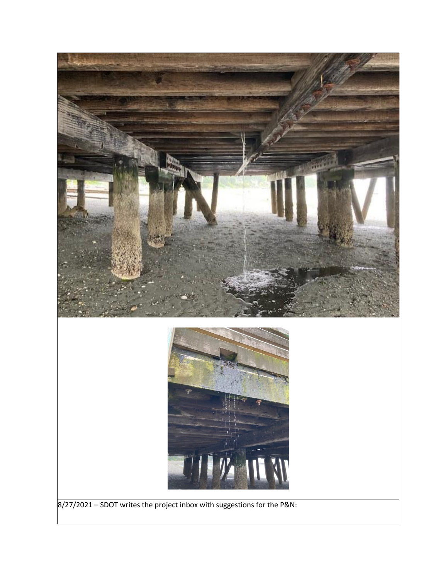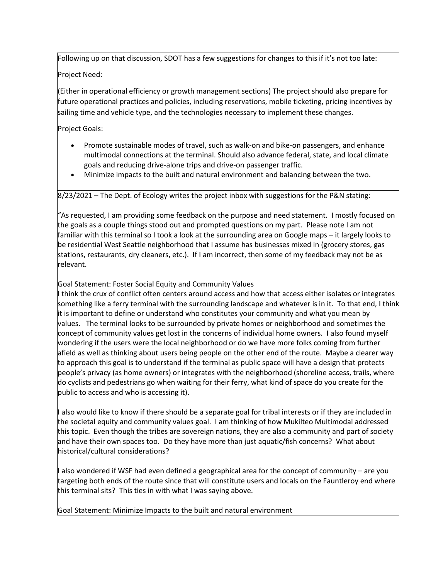Following up on that discussion, SDOT has a few suggestions for changes to this if it's not too late:

Project Need:

(Either in operational efficiency or growth management sections) The project should also prepare for future operational practices and policies, including reservations, mobile ticketing, pricing incentives by sailing time and vehicle type, and the technologies necessary to implement these changes.

Project Goals:

- Promote sustainable modes of travel, such as walk-on and bike-on passengers, and enhance multimodal connections at the terminal. Should also advance federal, state, and local climate goals and reducing drive-alone trips and drive-on passenger traffic.
- Minimize impacts to the built and natural environment and balancing between the two.

8/23/2021 – The Dept. of Ecology writes the project inbox with suggestions for the P&N stating:

"As requested, I am providing some feedback on the purpose and need statement. I mostly focused on the goals as a couple things stood out and prompted questions on my part. Please note I am not familiar with this terminal so I took a look at the surrounding area on Google maps – it largely looks to be residential West Seattle neighborhood that I assume has businesses mixed in (grocery stores, gas stations, restaurants, dry cleaners, etc.). If I am incorrect, then some of my feedback may not be as relevant.

Goal Statement: Foster Social Equity and Community Values

I think the crux of conflict often centers around access and how that access either isolates or integrates something like a ferry terminal with the surrounding landscape and whatever is in it. To that end, I think it is important to define or understand who constitutes your community and what you mean by values. The terminal looks to be surrounded by private homes or neighborhood and sometimes the concept of community values get lost in the concerns of individual home owners. I also found myself wondering if the users were the local neighborhood or do we have more folks coming from further afield as well as thinking about users being people on the other end of the route. Maybe a clearer way to approach this goal is to understand if the terminal as public space will have a design that protects people's privacy (as home owners) or integrates with the neighborhood (shoreline access, trails, where do cyclists and pedestrians go when waiting for their ferry, what kind of space do you create for the public to access and who is accessing it).

I also would like to know if there should be a separate goal for tribal interests or if they are included in the societal equity and community values goal. I am thinking of how Mukilteo Multimodal addressed this topic. Even though the tribes are sovereign nations, they are also a community and part of society and have their own spaces too. Do they have more than just aquatic/fish concerns? What about historical/cultural considerations?

I also wondered if WSF had even defined a geographical area for the concept of community – are you targeting both ends of the route since that will constitute users and locals on the Fauntleroy end where this terminal sits? This ties in with what I was saying above.

Goal Statement: Minimize Impacts to the built and natural environment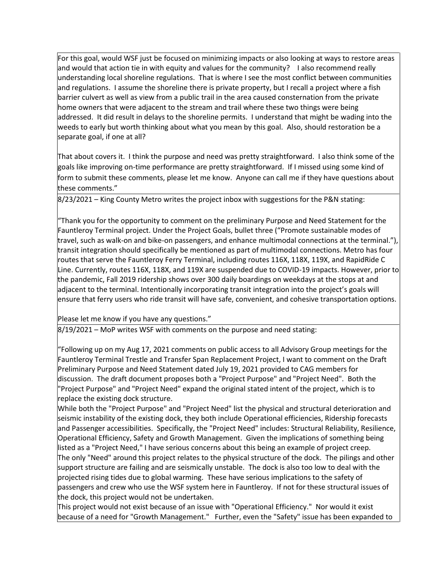For this goal, would WSF just be focused on minimizing impacts or also looking at ways to restore areas and would that action tie in with equity and values for the community? I also recommend really understanding local shoreline regulations. That is where I see the most conflict between communities and regulations. I assume the shoreline there is private property, but I recall a project where a fish barrier culvert as well as view from a public trail in the area caused consternation from the private home owners that were adjacent to the stream and trail where these two things were being addressed. It did result in delays to the shoreline permits. I understand that might be wading into the weeds to early but worth thinking about what you mean by this goal. Also, should restoration be a separate goal, if one at all?

That about covers it. I think the purpose and need was pretty straightforward. I also think some of the goals like improving on-time performance are pretty straightforward. If I missed using some kind of form to submit these comments, please let me know. Anyone can call me if they have questions about these comments."

8/23/2021 – King County Metro writes the project inbox with suggestions for the P&N stating:

"Thank you for the opportunity to comment on the preliminary Purpose and Need Statement for the Fauntleroy Terminal project. Under the Project Goals, bullet three ("Promote sustainable modes of travel, such as walk-on and bike-on passengers, and enhance multimodal connections at the terminal."), transit integration should specifically be mentioned as part of multimodal connections. Metro has four routes that serve the Fauntleroy Ferry Terminal, including routes 116X, 118X, 119X, and RapidRide C Line. Currently, routes 116X, 118X, and 119X are suspended due to COVID-19 impacts. However, prior to the pandemic, Fall 2019 ridership shows over 300 daily boardings on weekdays at the stops at and adjacent to the terminal. Intentionally incorporating transit integration into the project's goals will ensure that ferry users who ride transit will have safe, convenient, and cohesive transportation options.

Please let me know if you have any questions."

8/19/2021 – MoP writes WSF with comments on the purpose and need stating:

"Following up on my Aug 17, 2021 comments on public access to all Advisory Group meetings for the Fauntleroy Terminal Trestle and Transfer Span Replacement Project, I want to comment on the Draft Preliminary Purpose and Need Statement dated July 19, 2021 provided to CAG members for discussion. The draft document proposes both a "Project Purpose" and "Project Need". Both the "Project Purpose" and "Project Need" expand the original stated intent of the project, which is to replace the existing dock structure.

While both the "Project Purpose" and "Project Need" list the physical and structural deterioration and seismic instability of the existing dock, they both include Operational efficiencies, Ridership forecasts and Passenger accessibilities. Specifically, the "Project Need" includes: Structural Reliability, Resilience, Operational Efficiency, Safety and Growth Management. Given the implications of something being listed as a "Project Need," I have serious concerns about this being an example of project creep. The only "Need" around this project relates to the physical structure of the dock. The pilings and other support structure are failing and are seismically unstable. The dock is also too low to deal with the projected rising tides due to global warming. These have serious implications to the safety of passengers and crew who use the WSF system here in Fauntleroy. If not for these structural issues of the dock, this project would not be undertaken.

This project would not exist because of an issue with "Operational Efficiency." Nor would it exist because of a need for "Growth Management." Further, even the "Safety" issue has been expanded to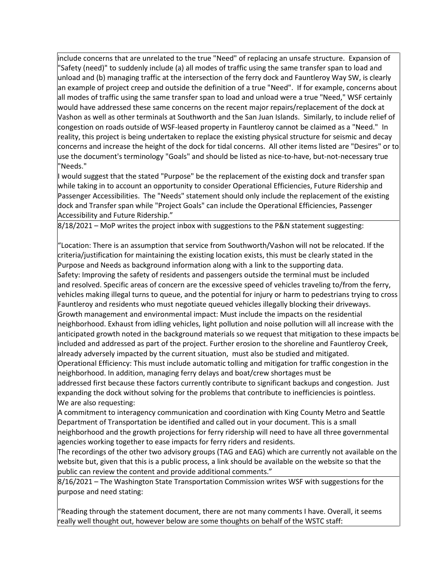include concerns that are unrelated to the true "Need" of replacing an unsafe structure. Expansion of "Safety (need)" to suddenly include (a) all modes of traffic using the same transfer span to load and unload and (b) managing traffic at the intersection of the ferry dock and Fauntleroy Way SW, is clearly an example of project creep and outside the definition of a true "Need". If for example, concerns about all modes of traffic using the same transfer span to load and unload were a true "Need," WSF certainly would have addressed these same concerns on the recent major repairs/replacement of the dock at Vashon as well as other terminals at Southworth and the San Juan Islands. Similarly, to include relief of congestion on roads outside of WSF-leased property in Fauntleroy cannot be claimed as a "Need." In reality, this project is being undertaken to replace the existing physical structure for seismic and decay concerns and increase the height of the dock for tidal concerns. All other items listed are "Desires" or to use the document's terminology "Goals" and should be listed as nice-to-have, but-not-necessary true "Needs."

I would suggest that the stated "Purpose" be the replacement of the existing dock and transfer span while taking in to account an opportunity to consider Operational Efficiencies, Future Ridership and Passenger Accessibilities. The "Needs" statement should only include the replacement of the existing dock and Transfer span while "Project Goals" can include the Operational Efficiencies, Passenger Accessibility and Future Ridership."

8/18/2021 – MoP writes the project inbox with suggestions to the P&N statement suggesting:

"Location: There is an assumption that service from Southworth/Vashon will not be relocated. If the criteria/justification for maintaining the existing location exists, this must be clearly stated in the Purpose and Needs as background information along with a link to the supporting data. Safety: Improving the safety of residents and passengers outside the terminal must be included and resolved. Specific areas of concern are the excessive speed of vehicles traveling to/from the ferry, vehicles making illegal turns to queue, and the potential for injury or harm to pedestrians trying to cross Fauntleroy and residents who must negotiate queued vehicles illegally blocking their driveways. Growth management and environmental impact: Must include the impacts on the residential neighborhood. Exhaust from idling vehicles, light pollution and noise pollution will all increase with the anticipated growth noted in the background materials so we request that mitigation to these impacts be included and addressed as part of the project. Further erosion to the shoreline and Fauntleroy Creek, already adversely impacted by the current situation, must also be studied and mitigated. Operational Efficiency: This must include automatic tolling and mitigation for traffic congestion in the neighborhood. In addition, managing ferry delays and boat/crew shortages must be

addressed first because these factors currently contribute to significant backups and congestion. Just expanding the dock without solving for the problems that contribute to inefficiencies is pointless. We are also requesting:

A commitment to interagency communication and coordination with King County Metro and Seattle Department of Transportation be identified and called out in your document. This is a small neighborhood and the growth projections for ferry ridership will need to have all three governmental agencies working together to ease impacts for ferry riders and residents.

The recordings of the other two advisory groups (TAG and EAG) which are currently not available on the website but, given that this is a public process, a link should be available on the website so that the public can review the content and provide additional comments."

8/16/2021 – The Washington State Transportation Commission writes WSF with suggestions for the purpose and need stating:

"Reading through the statement document, there are not many comments I have. Overall, it seems really well thought out, however below are some thoughts on behalf of the WSTC staff: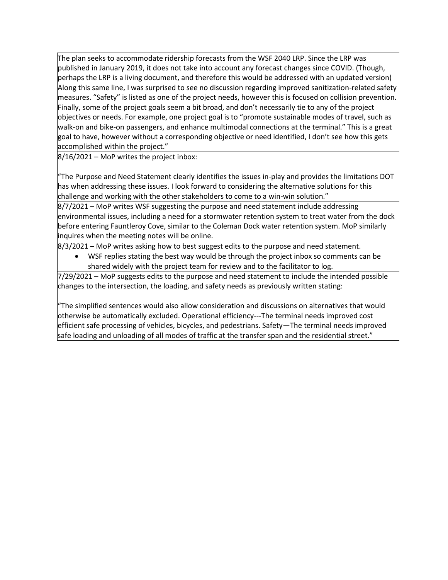The plan seeks to accommodate ridership forecasts from the WSF 2040 LRP. Since the LRP was published in January 2019, it does not take into account any forecast changes since COVID. (Though, perhaps the LRP is a living document, and therefore this would be addressed with an updated version) Along this same line, I was surprised to see no discussion regarding improved sanitization-related safety measures. "Safety" is listed as one of the project needs, however this is focused on collision prevention. Finally, some of the project goals seem a bit broad, and don't necessarily tie to any of the project objectives or needs. For example, one project goal is to "promote sustainable modes of travel, such as walk-on and bike-on passengers, and enhance multimodal connections at the terminal." This is a great goal to have, however without a corresponding objective or need identified, I don't see how this gets accomplished within the project."

8/16/2021 – MoP writes the project inbox:

"The Purpose and Need Statement clearly identifies the issues in-play and provides the limitations DOT has when addressing these issues. I look forward to considering the alternative solutions for this challenge and working with the other stakeholders to come to a win-win solution."

8/7/2021 – MoP writes WSF suggesting the purpose and need statement include addressing environmental issues, including a need for a stormwater retention system to treat water from the dock before entering Fauntleroy Cove, similar to the Coleman Dock water retention system. MoP similarly inquires when the meeting notes will be online.

8/3/2021 – MoP writes asking how to best suggest edits to the purpose and need statement.

• WSF replies stating the best way would be through the project inbox so comments can be shared widely with the project team for review and to the facilitator to log.

7/29/2021 – MoP suggests edits to the purpose and need statement to include the intended possible changes to the intersection, the loading, and safety needs as previously written stating:

"The simplified sentences would also allow consideration and discussions on alternatives that would otherwise be automatically excluded. Operational efficiency---The terminal needs improved cost efficient safe processing of vehicles, bicycles, and pedestrians. Safety—The terminal needs improved safe loading and unloading of all modes of traffic at the transfer span and the residential street."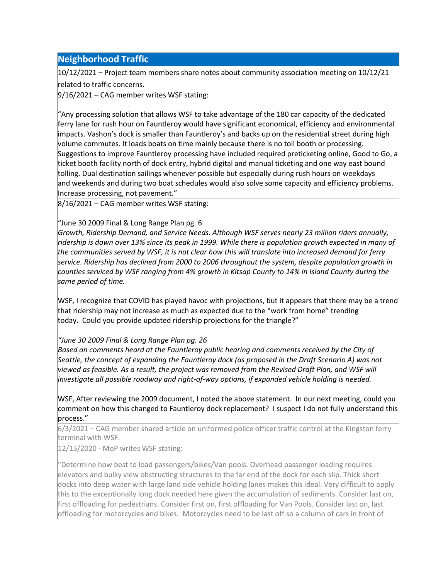## **Neighborhood Traffic**

10/12/2021 – Project team members share notes about community association meeting on 10/12/21 related to traffic concerns.

9/16/2021 – CAG member writes WSF stating:

"Any processing solution that allows WSF to take advantage of the 180 car capacity of the dedicated ferry lane for rush hour on Fauntleroy would have significant economical, efficiency and environmental impacts. Vashon's dock is smaller than Fauntleroy's and backs up on the residential street during high volume commutes. It loads boats on time mainly because there is no toll booth or processing. Suggestions to improve Fauntleroy processing have included required preticketing online, Good to Go, a ticket booth facility north of dock entry, hybrid digital and manual ticketing and one way east bound tolling. Dual destination sailings whenever possible but especially during rush hours on weekdays and weekends and during two boat schedules would also solve some capacity and efficiency problems. Increase processing, not pavement."

8/16/2021 – CAG member writes WSF stating:

#### "June 30 2009 Final & Long Range Plan pg. 6

*Growth, Ridership Demand, and Service Needs. Although WSF serves nearly 23 million riders annually, ridership is down over 13% since its peak in 1999. While there is population growth expected in many of the communities served by WSF, it is not clear how this will translate into increased demand for ferry service. Ridership has declined from 2000 to 2006 throughout the system, despite population growth in counties serviced by WSF ranging from 4% growth in Kitsap County to 14% in Island County during the same period of time.*

WSF, I recognize that COVID has played havoc with projections, but it appears that there may be a trend that ridership may not increase as much as expected due to the "work from home" trending today. Could you provide updated ridership projections for the triangle?"

## *"June 30 2009 Final & Long Range Plan pg. 26*

*Based on comments heard at the Fauntleroy public hearing and comments received by the City of Seattle, the concept of expanding the Fauntleroy dock (as proposed in the Draft Scenario A) was not viewed as feasible. As a result, the project was removed from the Revised Draft Plan, and WSF will investigate all possible roadway and right-of-way options, if expanded vehicle holding is needed.*

WSF, After reviewing the 2009 document, I noted the above statement. In our next meeting, could you comment on how this changed to Fauntleroy dock replacement? I suspect I do not fully understand this process."

6/3/2021 – CAG member shared article on uniformed police officer traffic control at the Kingston ferry terminal with WSF.

12/15/2020 - MoP writes WSF stating:

"Determine how best to load passengers/bikes/Van pools. Overhead passenger loading requires elevators and bulky view obstructing structures to the far end of the dock for each slip. Thick short docks into deep water with large land side vehicle holding lanes makes this ideal. Very difficult to apply this to the exceptionally long dock needed here given the accumulation of sediments. Consider last on, first offloading for pedestrians. Consider first on, first offloading for Van Pools. Consider last on, last offloading for motorcycles and bikes. Motorcycles need to be last off so a column of cars in front of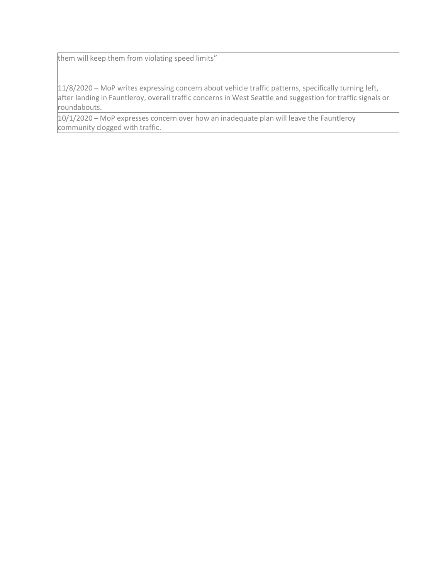them will keep them from violating speed limits"

11/8/2020 – MoP writes expressing concern about vehicle traffic patterns, specifically turning left, after landing in Fauntleroy, overall traffic concerns in West Seattle and suggestion for traffic signals or roundabouts.

10/1/2020 – MoP expresses concern over how an inadequate plan will leave the Fauntleroy community clogged with traffic.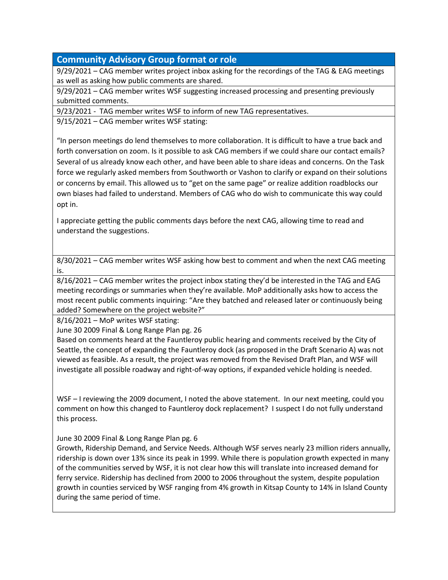# **Community Advisory Group format or role**

9/29/2021 – CAG member writes project inbox asking for the recordings of the TAG & EAG meetings as well as asking how public comments are shared.

9/29/2021 – CAG member writes WSF suggesting increased processing and presenting previously submitted comments.

9/23/2021 - TAG member writes WSF to inform of new TAG representatives.

9/15/2021 – CAG member writes WSF stating:

"In person meetings do lend themselves to more collaboration. It is difficult to have a true back and forth conversation on zoom. Is it possible to ask CAG members if we could share our contact emails? Several of us already know each other, and have been able to share ideas and concerns. On the Task force we regularly asked members from Southworth or Vashon to clarify or expand on their solutions or concerns by email. This allowed us to "get on the same page" or realize addition roadblocks our own biases had failed to understand. Members of CAG who do wish to communicate this way could opt in.

I appreciate getting the public comments days before the next CAG, allowing time to read and understand the suggestions.

8/30/2021 – CAG member writes WSF asking how best to comment and when the next CAG meeting is.

8/16/2021 – CAG member writes the project inbox stating they'd be interested in the TAG and EAG meeting recordings or summaries when they're available. MoP additionally asks how to access the most recent public comments inquiring: "Are they batched and released later or continuously being added? Somewhere on the project website?"

8/16/2021 – MoP writes WSF stating:

June 30 2009 Final & Long Range Plan pg. 26

Based on comments heard at the Fauntleroy public hearing and comments received by the City of Seattle, the concept of expanding the Fauntleroy dock (as proposed in the Draft Scenario A) was not viewed as feasible. As a result, the project was removed from the Revised Draft Plan, and WSF will investigate all possible roadway and right-of-way options, if expanded vehicle holding is needed.

WSF – I reviewing the 2009 document, I noted the above statement. In our next meeting, could you comment on how this changed to Fauntleroy dock replacement? I suspect I do not fully understand this process.

June 30 2009 Final & Long Range Plan pg. 6

Growth, Ridership Demand, and Service Needs. Although WSF serves nearly 23 million riders annually, ridership is down over 13% since its peak in 1999. While there is population growth expected in many of the communities served by WSF, it is not clear how this will translate into increased demand for ferry service. Ridership has declined from 2000 to 2006 throughout the system, despite population growth in counties serviced by WSF ranging from 4% growth in Kitsap County to 14% in Island County during the same period of time.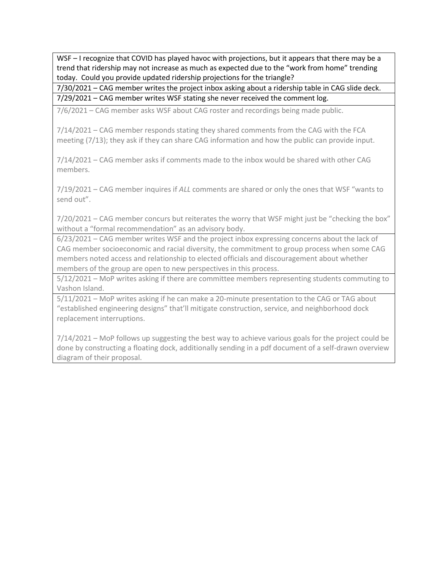WSF – I recognize that COVID has played havoc with projections, but it appears that there may be a trend that ridership may not increase as much as expected due to the "work from home" trending today. Could you provide updated ridership projections for the triangle?

7/30/2021 – CAG member writes the project inbox asking about a ridership table in CAG slide deck. 7/29/2021 – CAG member writes WSF stating she never received the comment log.

7/6/2021 – CAG member asks WSF about CAG roster and recordings being made public.

7/14/2021 – CAG member responds stating they shared comments from the CAG with the FCA meeting (7/13); they ask if they can share CAG information and how the public can provide input.

7/14/2021 – CAG member asks if comments made to the inbox would be shared with other CAG members.

7/19/2021 – CAG member inquires if *ALL* comments are shared or only the ones that WSF "wants to send out".

7/20/2021 – CAG member concurs but reiterates the worry that WSF might just be "checking the box" without a "formal recommendation" as an advisory body.

6/23/2021 – CAG member writes WSF and the project inbox expressing concerns about the lack of CAG member socioeconomic and racial diversity, the commitment to group process when some CAG members noted access and relationship to elected officials and discouragement about whether members of the group are open to new perspectives in this process.

5/12/2021 – MoP writes asking if there are committee members representing students commuting to Vashon Island.

5/11/2021 – MoP writes asking if he can make a 20-minute presentation to the CAG or TAG about "established engineering designs" that'll mitigate construction, service, and neighborhood dock replacement interruptions.

7/14/2021 – MoP follows up suggesting the best way to achieve various goals for the project could be done by constructing a floating dock, additionally sending in a pdf document of a self-drawn overview diagram of their proposal.